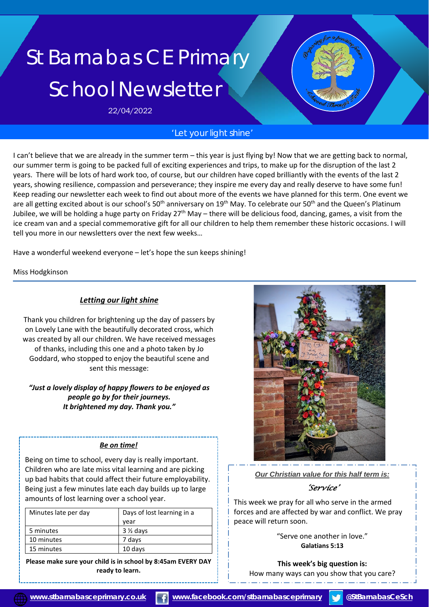# St Barnabas CE Primary School Newsletter

22/04/2022

## *'Let your light shine'*

I can't believe that we are already in the summer term – this year is just flying by! Now that we are getting back to normal, our summer term is going to be packed full of exciting experiences and trips, to make up for the disruption of the last 2 years. There will be lots of hard work too, of course, but our children have coped brilliantly with the events of the last 2 years, showing resilience, compassion and perseverance; they inspire me every day and really deserve to have some fun! Keep reading our newsletter each week to find out about more of the events we have planned for this term. One event we are all getting excited about is our school's 50<sup>th</sup> anniversary on 19<sup>th</sup> May. To celebrate our 50<sup>th</sup> and the Queen's Platinum Jubilee, we will be holding a huge party on Friday  $27<sup>th</sup>$  May – there will be delicious food, dancing, games, a visit from the ice cream van and a special commemorative gift for all our children to help them remember these historic occasions. I will tell you more in our newsletters over the next few weeks…

Have a wonderful weekend everyone – let's hope the sun keeps shining!

Miss Hodgkinson

#### *Letting our light shine*

Thank you children for brightening up the day of passers by on Lovely Lane with the beautifully decorated cross, which was created by all our children. We have received messages of thanks, including this one and a photo taken by Jo Goddard, who stopped to enjoy the beautiful scene and sent this message:

#### *"Just a lovely display of happy flowers to be enjoyed as people go by for their journeys. It brightened my day. Thank you."*

#### *Be on time!*

Being on time to school, every day is really important. Children who are late miss vital learning and are picking up bad habits that could affect their future employability. Being just a few minutes late each day builds up to large amounts of lost learning over a school year.

| Minutes late per day | Days of lost learning in a |
|----------------------|----------------------------|
|                      | vear                       |
| 5 minutes            | $3\frac{1}{2}$ days        |
| 10 minutes           | 7 days                     |
| 15 minutes           | 10 days                    |

**Please make sure your child is in school by 8:45am EVERY DAY ready to learn.**



*Our Christian value for this half term is:*

*'Service'* 

This week we pray for all who serve in the armed forces and are affected by war and conflict. We pray peace will return soon.

> "Serve one another in love." **Galatians 5:13**

**This week's big question is:** How many ways can you show that you care?